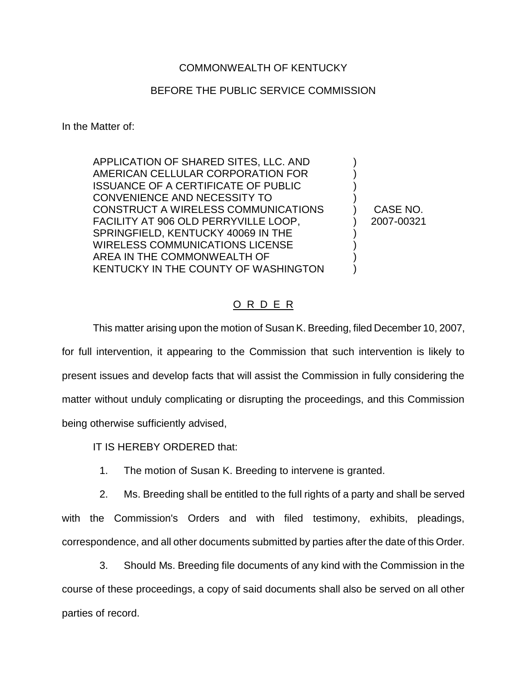## COMMONWEALTH OF KENTUCKY

## BEFORE THE PUBLIC SERVICE COMMISSION

In the Matter of:

APPLICATION OF SHARED SITES, LLC. AND AMERICAN CELLULAR CORPORATION FOR ISSUANCE OF A CERTIFICATE OF PUBLIC CONVENIENCE AND NECESSITY TO CONSTRUCT A WIRELESS COMMUNICATIONS FACILITY AT 906 OLD PERRYVILLE LOOP, SPRINGFIELD, KENTUCKY 40069 IN THE WIRELESS COMMUNICATIONS LICENSE AREA IN THE COMMONWEALTH OF KENTUCKY IN THE COUNTY OF WASHINGTON

) CASE NO. ) 2007-00321

) ) ) )

) ) ) )

## O R D E R

This matter arising upon the motion of Susan K. Breeding, filed December 10, 2007, for full intervention, it appearing to the Commission that such intervention is likely to present issues and develop facts that will assist the Commission in fully considering the matter without unduly complicating or disrupting the proceedings, and this Commission being otherwise sufficiently advised,

IT IS HEREBY ORDERED that:

1. The motion of Susan K. Breeding to intervene is granted.

2. Ms. Breeding shall be entitled to the full rights of a party and shall be served with the Commission's Orders and with filed testimony, exhibits, pleadings, correspondence, and all other documents submitted by parties after the date of this Order.

3. Should Ms. Breeding file documents of any kind with the Commission in the course of these proceedings, a copy of said documents shall also be served on all other parties of record.